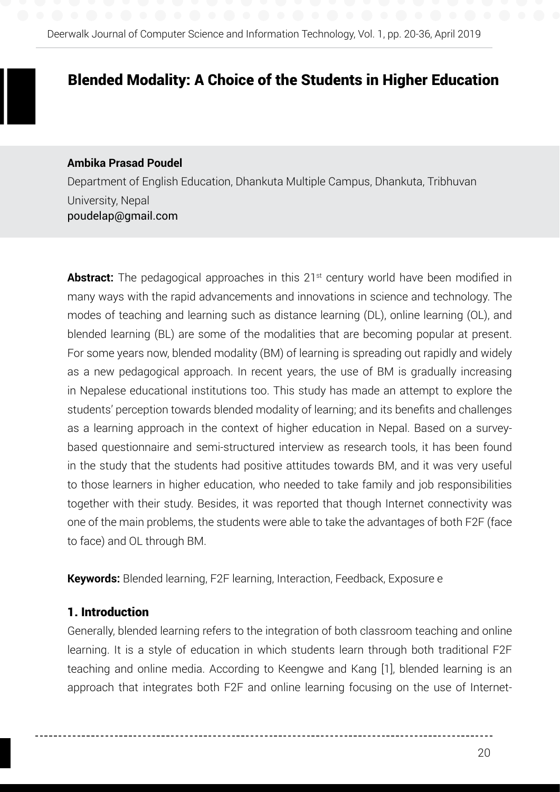# Blended Modality: A Choice of the Students in Higher Education

### **Ambika Prasad Poudel**

Department of English Education, Dhankuta Multiple Campus, Dhankuta, Tribhuvan University, Nepal poudelap@gmail.com

**Abstract:** The pedagogical approaches in this 21<sup>st</sup> century world have been modified in many ways with the rapid advancements and innovations in science and technology. The modes of teaching and learning such as distance learning (DL), online learning (OL), and blended learning (BL) are some of the modalities that are becoming popular at present. For some years now, blended modality (BM) of learning is spreading out rapidly and widely as a new pedagogical approach. In recent years, the use of BM is gradually increasing in Nepalese educational institutions too. This study has made an attempt to explore the students' perception towards blended modality of learning; and its benefits and challenges as a learning approach in the context of higher education in Nepal. Based on a surveybased questionnaire and semi-structured interview as research tools, it has been found in the study that the students had positive attitudes towards BM, and it was very useful to those learners in higher education, who needed to take family and job responsibilities together with their study. Besides, it was reported that though Internet connectivity was one of the main problems, the students were able to take the advantages of both F2F (face to face) and OL through BM.

**Keywords:** Blended learning, F2F learning, Interaction, Feedback, Exposure e

## 1. Introduction

Generally, blended learning refers to the integration of both classroom teaching and online learning. It is a style of education in which students learn through both traditional F2F teaching and online media. According to Keengwe and Kang [1], blended learning is an approach that integrates both F2F and online learning focusing on the use of Internet-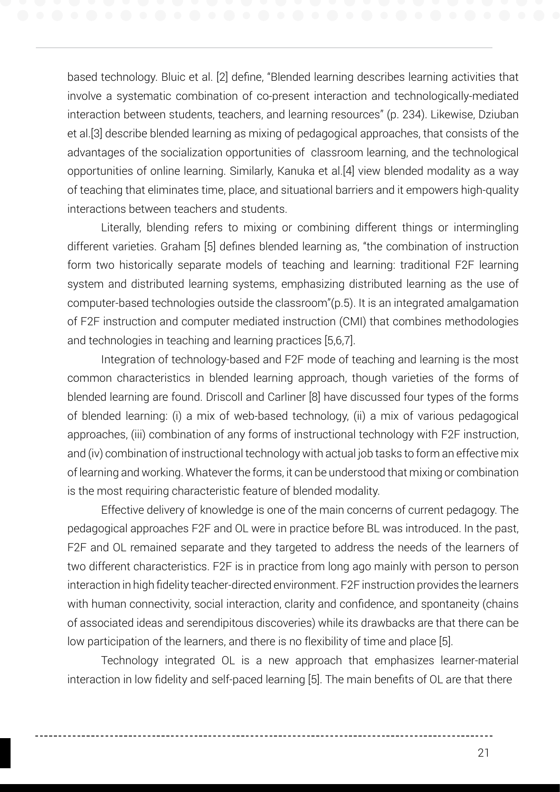based technology. Bluic et al. [2] define, "Blended learning describes learning activities that involve a systematic combination of co-present interaction and technologically-mediated interaction between students, teachers, and learning resources" (p. 234). Likewise, Dziuban et al.[3] describe blended learning as mixing of pedagogical approaches, that consists of the advantages of the socialization opportunities of classroom learning, and the technological opportunities of online learning. Similarly, Kanuka et al.[4] view blended modality as a way of teaching that eliminates time, place, and situational barriers and it empowers high-quality interactions between teachers and students.

Literally, blending refers to mixing or combining different things or intermingling different varieties. Graham [5] defines blended learning as, "the combination of instruction form two historically separate models of teaching and learning: traditional F2F learning system and distributed learning systems, emphasizing distributed learning as the use of computer-based technologies outside the classroom"(p.5). It is an integrated amalgamation of F2F instruction and computer mediated instruction (CMI) that combines methodologies and technologies in teaching and learning practices [5,6,7].

Integration of technology-based and F2F mode of teaching and learning is the most common characteristics in blended learning approach, though varieties of the forms of blended learning are found. Driscoll and Carliner [8] have discussed four types of the forms of blended learning: (i) a mix of web-based technology, (ii) a mix of various pedagogical approaches, (iii) combination of any forms of instructional technology with F2F instruction, and (iv) combination of instructional technology with actual job tasks to form an effective mix of learning and working. Whatever the forms, it can be understood that mixing or combination is the most requiring characteristic feature of blended modality.

Effective delivery of knowledge is one of the main concerns of current pedagogy. The pedagogical approaches F2F and OL were in practice before BL was introduced. In the past, F2F and OL remained separate and they targeted to address the needs of the learners of two different characteristics. F2F is in practice from long ago mainly with person to person interaction in high fidelity teacher-directed environment. F2F instruction provides the learners with human connectivity, social interaction, clarity and confidence, and spontaneity (chains of associated ideas and serendipitous discoveries) while its drawbacks are that there can be low participation of the learners, and there is no flexibility of time and place [5].

Technology integrated OL is a new approach that emphasizes learner-material interaction in low fidelity and self-paced learning [5]. The main benefits of OL are that there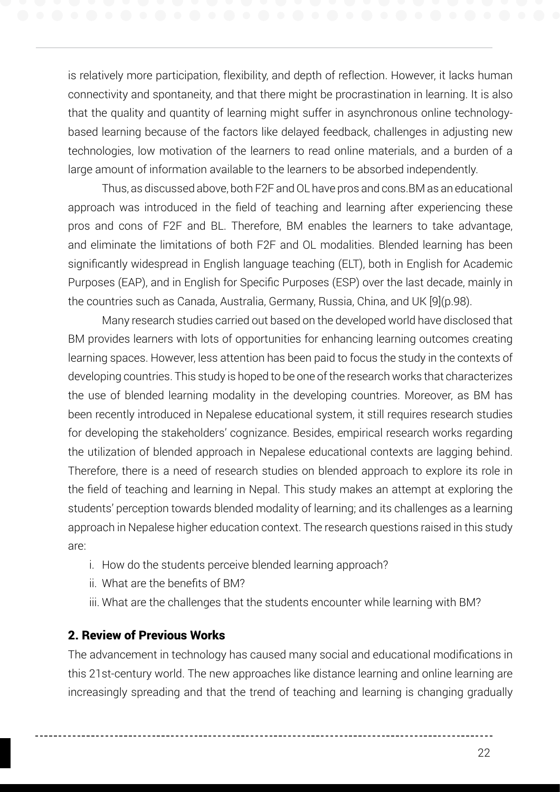is relatively more participation, flexibility, and depth of reflection. However, it lacks human connectivity and spontaneity, and that there might be procrastination in learning. It is also that the quality and quantity of learning might suffer in asynchronous online technologybased learning because of the factors like delayed feedback, challenges in adjusting new technologies, low motivation of the learners to read online materials, and a burden of a large amount of information available to the learners to be absorbed independently.

Thus, as discussed above, both F2F and OL have pros and cons.BM as an educational approach was introduced in the field of teaching and learning after experiencing these pros and cons of F2F and BL. Therefore, BM enables the learners to take advantage, and eliminate the limitations of both F2F and OL modalities. Blended learning has been significantly widespread in English language teaching (ELT), both in English for Academic Purposes (EAP), and in English for Specific Purposes (ESP) over the last decade, mainly in the countries such as Canada, Australia, Germany, Russia, China, and UK [9](p.98).

Many research studies carried out based on the developed world have disclosed that BM provides learners with lots of opportunities for enhancing learning outcomes creating learning spaces. However, less attention has been paid to focus the study in the contexts of developing countries. This study is hoped to be one of the research works that characterizes the use of blended learning modality in the developing countries. Moreover, as BM has been recently introduced in Nepalese educational system, it still requires research studies for developing the stakeholders' cognizance. Besides, empirical research works regarding the utilization of blended approach in Nepalese educational contexts are lagging behind. Therefore, there is a need of research studies on blended approach to explore its role in the field of teaching and learning in Nepal. This study makes an attempt at exploring the students' perception towards blended modality of learning; and its challenges as a learning approach in Nepalese higher education context. The research questions raised in this study are:

- i. How do the students perceive blended learning approach?
- ii. What are the benefits of BM?
- iii. What are the challenges that the students encounter while learning with BM?

## 2. Review of Previous Works

The advancement in technology has caused many social and educational modifications in this 21st-century world. The new approaches like distance learning and online learning are increasingly spreading and that the trend of teaching and learning is changing gradually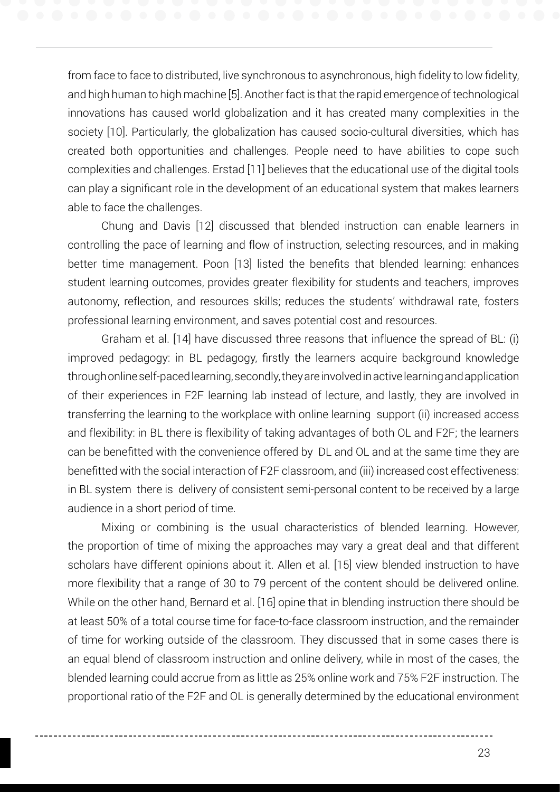from face to face to distributed, live synchronous to asynchronous, high fidelity to low fidelity, and high human to high machine [5]. Another fact is that the rapid emergence of technological innovations has caused world globalization and it has created many complexities in the society [10]. Particularly, the globalization has caused socio-cultural diversities, which has created both opportunities and challenges. People need to have abilities to cope such complexities and challenges. Erstad [11] believes that the educational use of the digital tools can play a significant role in the development of an educational system that makes learners able to face the challenges.

Chung and Davis [12] discussed that blended instruction can enable learners in controlling the pace of learning and flow of instruction, selecting resources, and in making better time management. Poon [13] listed the benefits that blended learning: enhances student learning outcomes, provides greater flexibility for students and teachers, improves autonomy, reflection, and resources skills; reduces the students' withdrawal rate, fosters professional learning environment, and saves potential cost and resources.

Graham et al. [14] have discussed three reasons that influence the spread of BL: (i) improved pedagogy: in BL pedagogy, firstly the learners acquire background knowledge through online self-paced learning, secondly, they are involved in active learning and application of their experiences in F2F learning lab instead of lecture, and lastly, they are involved in transferring the learning to the workplace with online learning support (ii) increased access and flexibility: in BL there is flexibility of taking advantages of both OL and F2F; the learners can be benefitted with the convenience offered by DL and OL and at the same time they are benefitted with the social interaction of F2F classroom, and (iii) increased cost effectiveness: in BL system there is delivery of consistent semi-personal content to be received by a large audience in a short period of time.

Mixing or combining is the usual characteristics of blended learning. However, the proportion of time of mixing the approaches may vary a great deal and that different scholars have different opinions about it. Allen et al. [15] view blended instruction to have more flexibility that a range of 30 to 79 percent of the content should be delivered online. While on the other hand, Bernard et al. [16] opine that in blending instruction there should be at least 50% of a total course time for face-to-face classroom instruction, and the remainder of time for working outside of the classroom. They discussed that in some cases there is an equal blend of classroom instruction and online delivery, while in most of the cases, the blended learning could accrue from as little as 25% online work and 75% F2F instruction. The proportional ratio of the F2F and OL is generally determined by the educational environment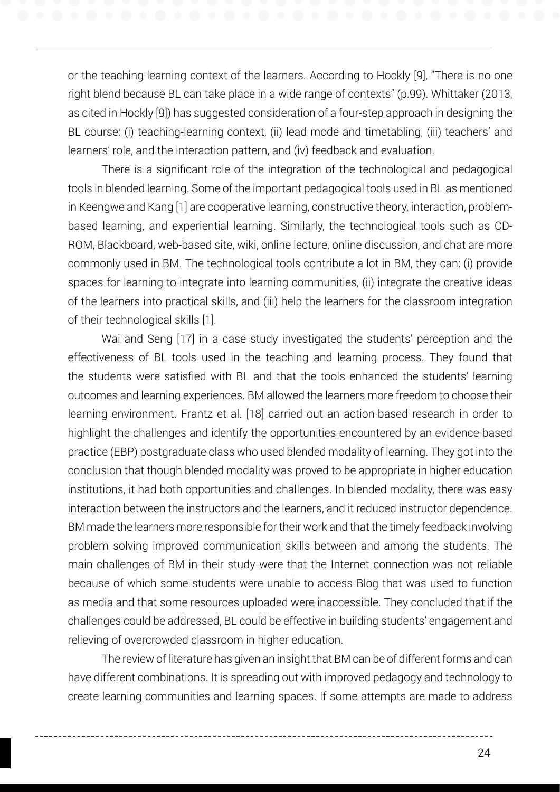or the teaching-learning context of the learners. According to Hockly [9], "There is no one right blend because BL can take place in a wide range of contexts" (p.99). Whittaker (2013, as cited in Hockly [9]) has suggested consideration of a four-step approach in designing the BL course: (i) teaching-learning context, (ii) lead mode and timetabling, (iii) teachers' and learners' role, and the interaction pattern, and (iv) feedback and evaluation.

There is a significant role of the integration of the technological and pedagogical tools in blended learning. Some of the important pedagogical tools used in BL as mentioned in Keengwe and Kang [1] are cooperative learning, constructive theory, interaction, problembased learning, and experiential learning. Similarly, the technological tools such as CD-ROM, Blackboard, web-based site, wiki, online lecture, online discussion, and chat are more commonly used in BM. The technological tools contribute a lot in BM, they can: (i) provide spaces for learning to integrate into learning communities, (ii) integrate the creative ideas of the learners into practical skills, and (iii) help the learners for the classroom integration of their technological skills [1].

Wai and Seng [17] in a case study investigated the students' perception and the effectiveness of BL tools used in the teaching and learning process. They found that the students were satisfied with BL and that the tools enhanced the students' learning outcomes and learning experiences. BM allowed the learners more freedom to choose their learning environment. Frantz et al. [18] carried out an action-based research in order to highlight the challenges and identify the opportunities encountered by an evidence-based practice (EBP) postgraduate class who used blended modality of learning. They got into the conclusion that though blended modality was proved to be appropriate in higher education institutions, it had both opportunities and challenges. In blended modality, there was easy interaction between the instructors and the learners, and it reduced instructor dependence. BM made the learners more responsible for their work and that the timely feedback involving problem solving improved communication skills between and among the students. The main challenges of BM in their study were that the Internet connection was not reliable because of which some students were unable to access Blog that was used to function as media and that some resources uploaded were inaccessible. They concluded that if the challenges could be addressed, BL could be effective in building students' engagement and relieving of overcrowded classroom in higher education.

The review of literature has given an insight that BM can be of different forms and can have different combinations. It is spreading out with improved pedagogy and technology to create learning communities and learning spaces. If some attempts are made to address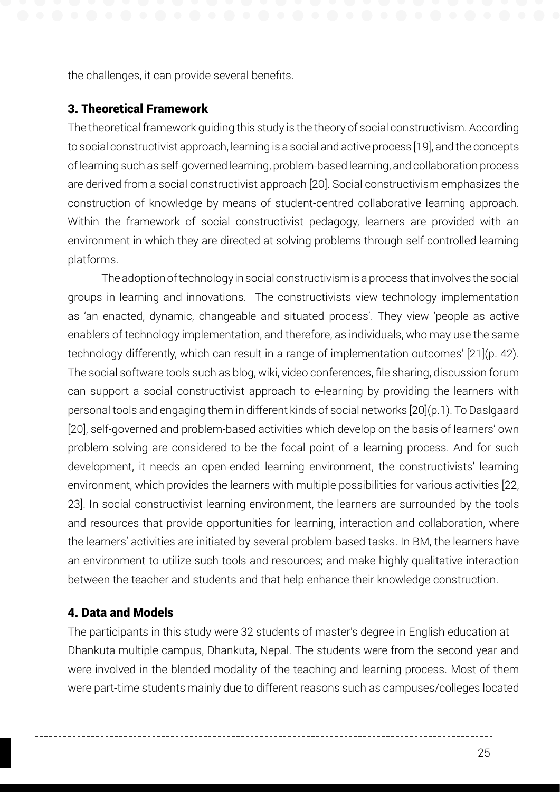the challenges, it can provide several benefits.

### 3. Theoretical Framework

The theoretical framework guiding this study is the theory of social constructivism. According to social constructivist approach, learning is a social and active process [19], and the concepts of learning such as self-governed learning, problem-based learning, and collaboration process are derived from a social constructivist approach [20]. Social constructivism emphasizes the construction of knowledge by means of student-centred collaborative learning approach. Within the framework of social constructivist pedagogy, learners are provided with an environment in which they are directed at solving problems through self-controlled learning platforms.

The adoption of technology in social constructivism is a process that involves the social groups in learning and innovations. The constructivists view technology implementation as 'an enacted, dynamic, changeable and situated process'. They view 'people as active enablers of technology implementation, and therefore, as individuals, who may use the same technology differently, which can result in a range of implementation outcomes' [21](p. 42). The social software tools such as blog, wiki, video conferences, file sharing, discussion forum can support a social constructivist approach to e-learning by providing the learners with personal tools and engaging them in different kinds of social networks [20](p.1). To Daslgaard [20], self-governed and problem-based activities which develop on the basis of learners' own problem solving are considered to be the focal point of a learning process. And for such development, it needs an open-ended learning environment, the constructivists' learning environment, which provides the learners with multiple possibilities for various activities [22, 23]. In social constructivist learning environment, the learners are surrounded by the tools and resources that provide opportunities for learning, interaction and collaboration, where the learners' activities are initiated by several problem-based tasks. In BM, the learners have an environment to utilize such tools and resources; and make highly qualitative interaction between the teacher and students and that help enhance their knowledge construction.

## 4. Data and Models

Ī

The participants in this study were 32 students of master's degree in English education at Dhankuta multiple campus, Dhankuta, Nepal. The students were from the second year and were involved in the blended modality of the teaching and learning process. Most of them were part-time students mainly due to different reasons such as campuses/colleges located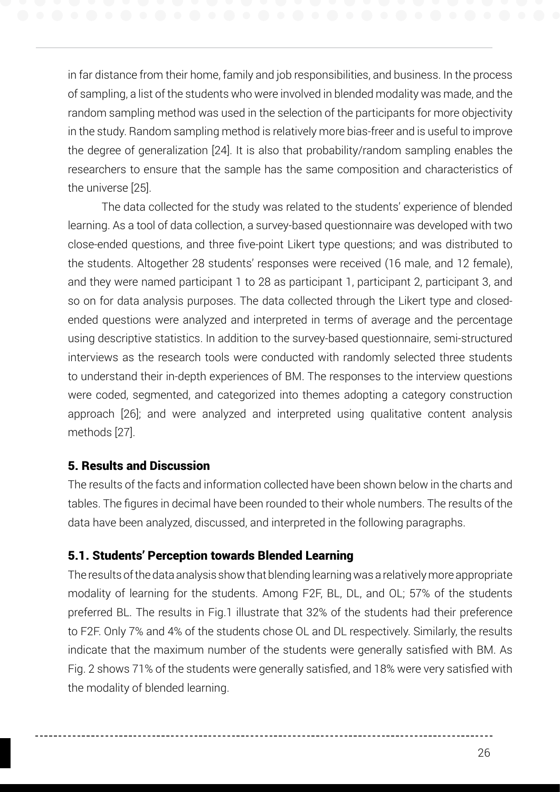in far distance from their home, family and job responsibilities, and business. In the process of sampling, a list of the students who were involved in blended modality was made, and the random sampling method was used in the selection of the participants for more objectivity in the study. Random sampling method is relatively more bias-freer and is useful to improve the degree of generalization [24]. It is also that probability/random sampling enables the researchers to ensure that the sample has the same composition and characteristics of the universe [25].

The data collected for the study was related to the students' experience of blended learning. As a tool of data collection, a survey-based questionnaire was developed with two close-ended questions, and three five-point Likert type questions; and was distributed to the students. Altogether 28 students' responses were received (16 male, and 12 female), and they were named participant 1 to 28 as participant 1, participant 2, participant 3, and so on for data analysis purposes. The data collected through the Likert type and closedended questions were analyzed and interpreted in terms of average and the percentage using descriptive statistics. In addition to the survey-based questionnaire, semi-structured interviews as the research tools were conducted with randomly selected three students to understand their in-depth experiences of BM. The responses to the interview questions were coded, segmented, and categorized into themes adopting a category construction approach [26]; and were analyzed and interpreted using qualitative content analysis methods [27].

## 5. Results and Discussion

The results of the facts and information collected have been shown below in the charts and tables. The figures in decimal have been rounded to their whole numbers. The results of the data have been analyzed, discussed, and interpreted in the following paragraphs.

## 5.1. Students' Perception towards Blended Learning

The results of the data analysis show that blending learning was a relatively more appropriate modality of learning for the students. Among F2F, BL, DL, and OL; 57% of the students preferred BL. The results in Fig.1 illustrate that 32% of the students had their preference to F2F. Only 7% and 4% of the students chose OL and DL respectively. Similarly, the results indicate that the maximum number of the students were generally satisfied with BM. As Fig. 2 shows 71% of the students were generally satisfied, and 18% were very satisfied with the modality of blended learning.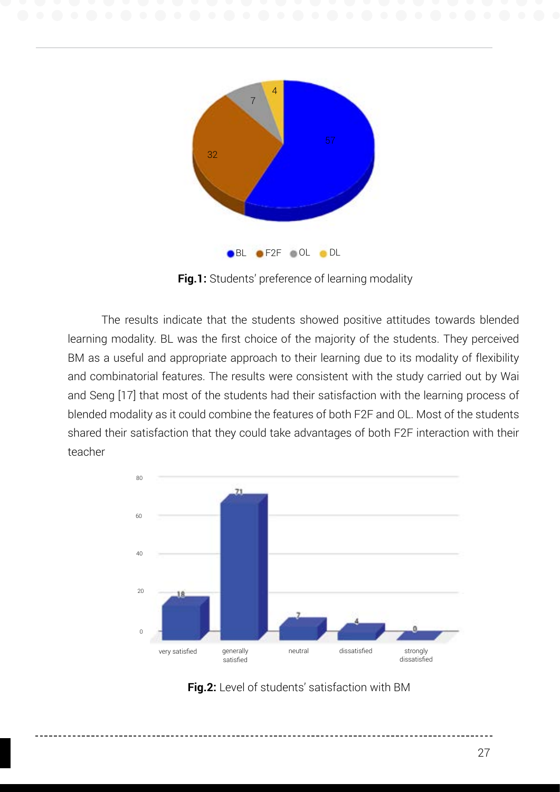

**Fig.1:** Students' preference of learning modality

The results indicate that the students showed positive attitudes towards blended learning modality. BL was the first choice of the majority of the students. They perceived BM as a useful and appropriate approach to their learning due to its modality of flexibility and combinatorial features. The results were consistent with the study carried out by Wai and Seng [17] that most of the students had their satisfaction with the learning process of blended modality as it could combine the features of both F2F and OL. Most of the students shared their satisfaction that they could take advantages of both F2F interaction with their teacher



**Fig.2:** Level of students' satisfaction with BM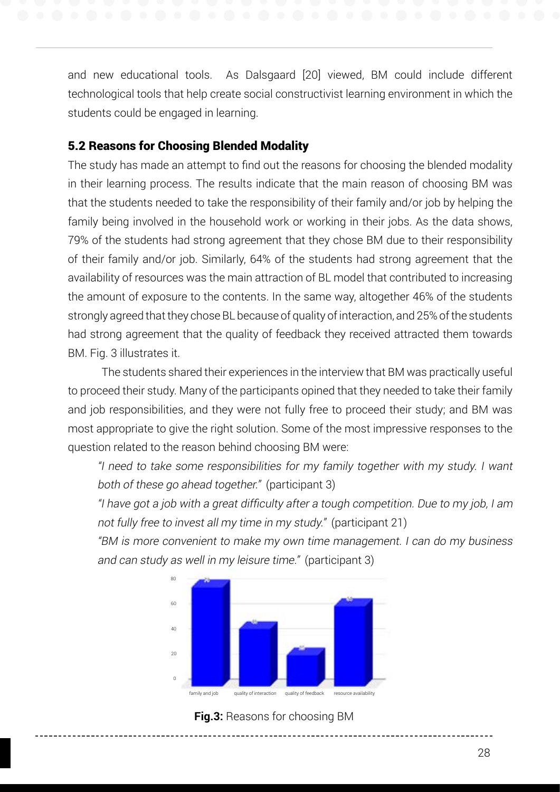and new educational tools. As Dalsgaard [20] viewed, BM could include different technological tools that help create social constructivist learning environment in which the students could be engaged in learning.

## 5.2 Reasons for Choosing Blended Modality

The study has made an attempt to find out the reasons for choosing the blended modality in their learning process. The results indicate that the main reason of choosing BM was that the students needed to take the responsibility of their family and/or job by helping the family being involved in the household work or working in their jobs. As the data shows, 79% of the students had strong agreement that they chose BM due to their responsibility of their family and/or job. Similarly, 64% of the students had strong agreement that the availability of resources was the main attraction of BL model that contributed to increasing the amount of exposure to the contents. In the same way, altogether 46% of the students strongly agreed that they chose BL because of quality of interaction, and 25% of the students had strong agreement that the quality of feedback they received attracted them towards BM. Fig. 3 illustrates it.

The students shared their experiences in the interview that BM was practically useful to proceed their study. Many of the participants opined that they needed to take their family and job responsibilities, and they were not fully free to proceed their study; and BM was most appropriate to give the right solution. Some of the most impressive responses to the question related to the reason behind choosing BM were:

"I need to take some responsibilities for my family together with my study. I want both of these go ahead together." (participant 3)

"I have got a job with a great difficulty after a tough competition. Due to my job, I am not fully free to invest all my time in my study." (participant 21)

"BM is more convenient to make my own time management. I can do my business and can study as well in my leisure time." (participant 3)



**Fig.3:** Reasons for choosing BM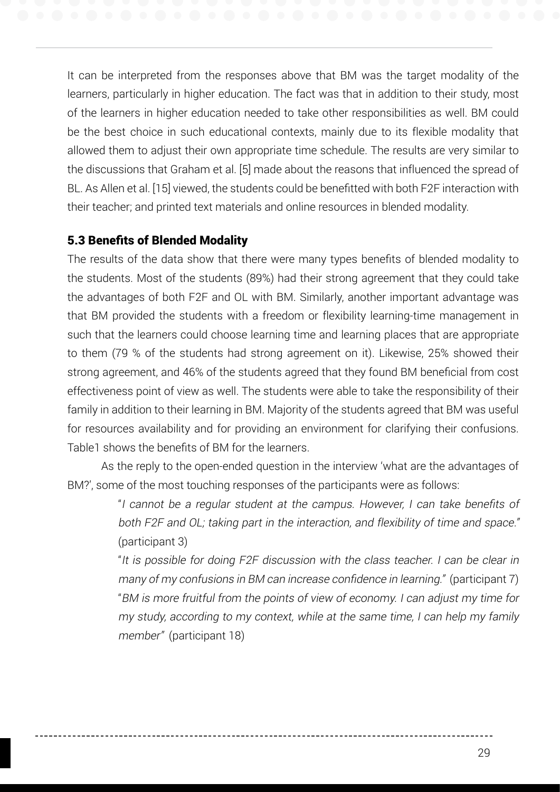It can be interpreted from the responses above that BM was the target modality of the learners, particularly in higher education. The fact was that in addition to their study, most of the learners in higher education needed to take other responsibilities as well. BM could be the best choice in such educational contexts, mainly due to its flexible modality that allowed them to adjust their own appropriate time schedule. The results are very similar to the discussions that Graham et al. [5] made about the reasons that influenced the spread of BL. As Allen et al. [15] viewed, the students could be benefitted with both F2F interaction with their teacher; and printed text materials and online resources in blended modality.

## 5.3 Benefits of Blended Modality

The results of the data show that there were many types benefits of blended modality to the students. Most of the students (89%) had their strong agreement that they could take the advantages of both F2F and OL with BM. Similarly, another important advantage was that BM provided the students with a freedom or flexibility learning-time management in such that the learners could choose learning time and learning places that are appropriate to them (79 % of the students had strong agreement on it). Likewise, 25% showed their strong agreement, and 46% of the students agreed that they found BM beneficial from cost effectiveness point of view as well. The students were able to take the responsibility of their family in addition to their learning in BM. Majority of the students agreed that BM was useful for resources availability and for providing an environment for clarifying their confusions. Table1 shows the benefits of BM for the learners.

As the reply to the open-ended question in the interview 'what are the advantages of BM?', some of the most touching responses of the participants were as follows:

> "I cannot be a regular student at the campus. However, I can take benefits of both F2F and OL; taking part in the interaction, and flexibility of time and space." (participant 3)

> "It is possible for doing F2F discussion with the class teacher. I can be clear in many of my confusions in BM can increase confidence in learning." (participant 7) "BM is more fruitful from the points of view of economy. I can adjust my time for my study, according to my context, while at the same time, I can help my family member" (participant 18)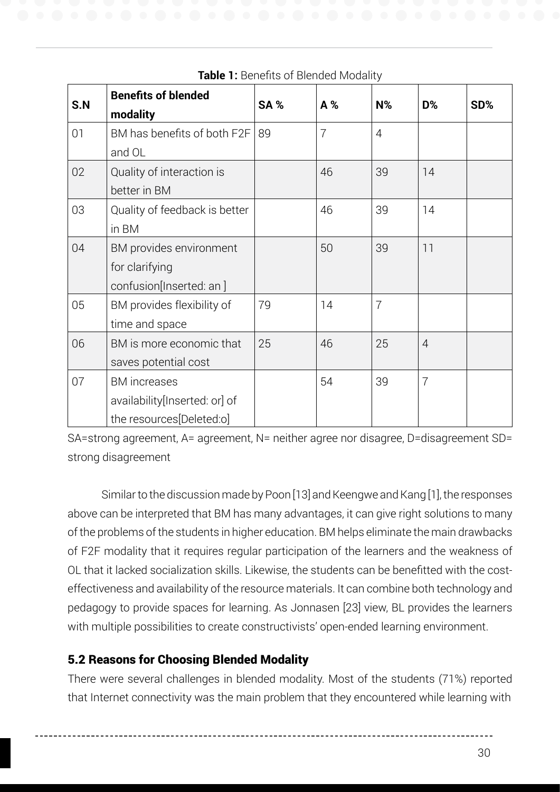| S.N | <b>Benefits of blended</b><br>modality | SA% | A% | $N\%$          | D%             | SD% |
|-----|----------------------------------------|-----|----|----------------|----------------|-----|
| 01  | BM has benefits of both F2F            | 89  | 7  | 4              |                |     |
|     | and OL                                 |     |    |                |                |     |
| 02  | Quality of interaction is              |     | 46 | 39             | 14             |     |
|     | better in BM                           |     |    |                |                |     |
| 03  | Quality of feedback is better          |     | 46 | 39             | 14             |     |
|     | in BM                                  |     |    |                |                |     |
| 04  | BM provides environment                |     | 50 | 39             | 11             |     |
|     | for clarifying                         |     |    |                |                |     |
|     | confusion[Inserted: an]                |     |    |                |                |     |
| 05  | BM provides flexibility of             | 79  | 14 | $\overline{7}$ |                |     |
|     | time and space                         |     |    |                |                |     |
| 06  | BM is more economic that               | 25  | 46 | 25             | 4              |     |
|     | saves potential cost                   |     |    |                |                |     |
| 07  | <b>BM</b> increases                    |     | 54 | 39             | $\overline{7}$ |     |
|     | availability[Inserted: or] of          |     |    |                |                |     |
|     | the resources[Deleted:o]               |     |    |                |                |     |

**Table 1:** Benefits of Blended Modality

SA=strong agreement, A= agreement, N= neither agree nor disagree, D=disagreement SD= strong disagreement

Similar to the discussion made by Poon [13] and Keengwe and Kang [1], the responses above can be interpreted that BM has many advantages, it can give right solutions to many of the problems of the students in higher education. BM helps eliminate the main drawbacks of F2F modality that it requires regular participation of the learners and the weakness of OL that it lacked socialization skills. Likewise, the students can be benefitted with the costeffectiveness and availability of the resource materials. It can combine both technology and pedagogy to provide spaces for learning. As Jonnasen [23] view, BL provides the learners with multiple possibilities to create constructivists' open-ended learning environment.

## 5.2 Reasons for Choosing Blended Modality

There were several challenges in blended modality. Most of the students (71%) reported that Internet connectivity was the main problem that they encountered while learning with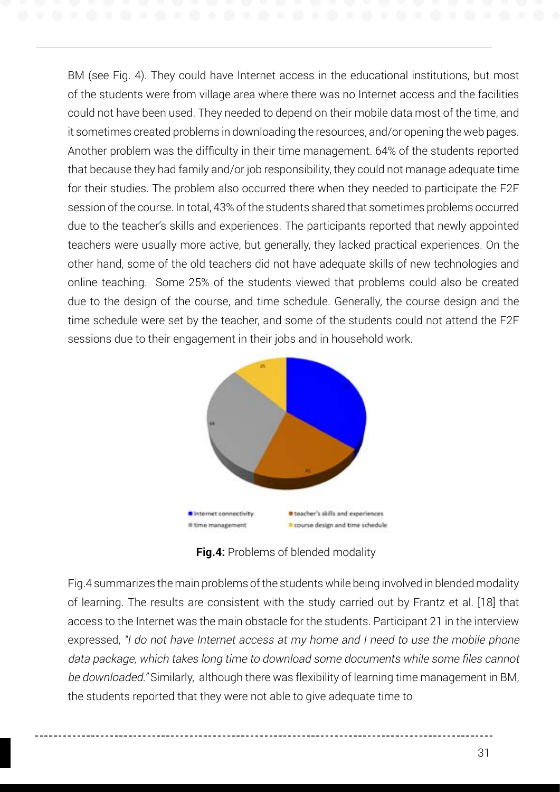BM (see Fig. 4). They could have Internet access in the educational institutions, but most of the students were from village area where there was no Internet access and the facilities could not have been used. They needed to depend on their mobile data most of the time, and it sometimes created problems in downloading the resources, and/or opening the web pages. Another problem was the difficulty in their time management. 64% of the students reported that because they had family and/or job responsibility, they could not manage adequate time for their studies. The problem also occurred there when they needed to participate the F2F session of the course. In total, 43% of the students shared that sometimes problems occurred due to the teacher's skills and experiences. The participants reported that newly appointed teachers were usually more active, but generally, they lacked practical experiences. On the other hand, some of the old teachers did not have adequate skills of new technologies and online teaching. Some 25% of the students viewed that problems could also be created due to the design of the course, and time schedule. Generally, the course design and the time schedule were set by the teacher, and some of the students could not attend the F2F sessions due to their engagement in their jobs and in household work.



**Fig.4:** Problems of blended modality

Fig.4 summarizes the main problems of the students while being involved in blended modality of learning. The results are consistent with the study carried out by Frantz et al. [18] that access to the Internet was the main obstacle for the students. Participant 21 in the interview expressed, "I do not have Internet access at my home and I need to use the mobile phone data package, which takes long time to download some documents while some files cannot be downloaded." Similarly, although there was flexibility of learning time management in BM, the students reported that they were not able to give adequate time to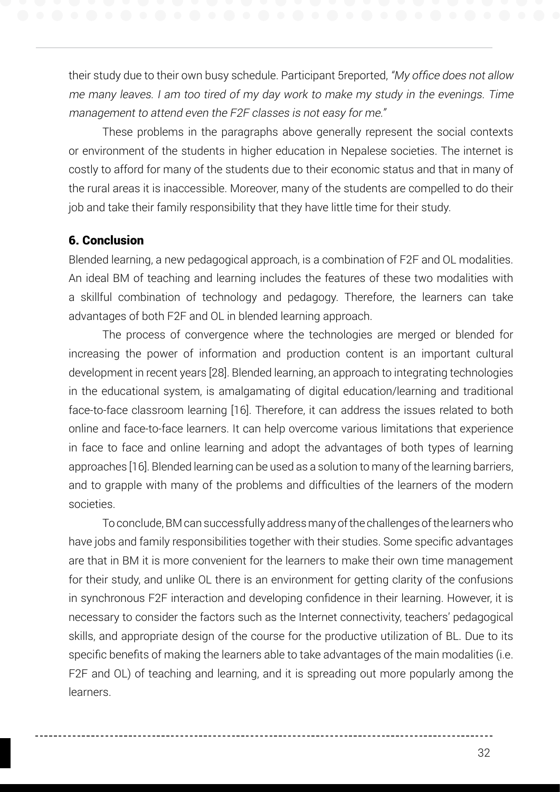their study due to their own busy schedule. Participant 5reported, "My office does not allow me many leaves. I am too tired of my day work to make my study in the evenings. Time management to attend even the F2F classes is not easy for me."

These problems in the paragraphs above generally represent the social contexts or environment of the students in higher education in Nepalese societies. The internet is costly to afford for many of the students due to their economic status and that in many of the rural areas it is inaccessible. Moreover, many of the students are compelled to do their job and take their family responsibility that they have little time for their study.

## 6. Conclusion

Blended learning, a new pedagogical approach, is a combination of F2F and OL modalities. An ideal BM of teaching and learning includes the features of these two modalities with a skillful combination of technology and pedagogy. Therefore, the learners can take advantages of both F2F and OL in blended learning approach.

The process of convergence where the technologies are merged or blended for increasing the power of information and production content is an important cultural development in recent years [28]. Blended learning, an approach to integrating technologies in the educational system, is amalgamating of digital education/learning and traditional face-to-face classroom learning [16]. Therefore, it can address the issues related to both online and face-to-face learners. It can help overcome various limitations that experience in face to face and online learning and adopt the advantages of both types of learning approaches [16]. Blended learning can be used as a solution to many of the learning barriers, and to grapple with many of the problems and difficulties of the learners of the modern societies.

To conclude, BM can successfully address many of the challenges of the learners who have jobs and family responsibilities together with their studies. Some specific advantages are that in BM it is more convenient for the learners to make their own time management for their study, and unlike OL there is an environment for getting clarity of the confusions in synchronous F2F interaction and developing confidence in their learning. However, it is necessary to consider the factors such as the Internet connectivity, teachers' pedagogical skills, and appropriate design of the course for the productive utilization of BL. Due to its specific benefits of making the learners able to take advantages of the main modalities (i.e. F2F and OL) of teaching and learning, and it is spreading out more popularly among the learners.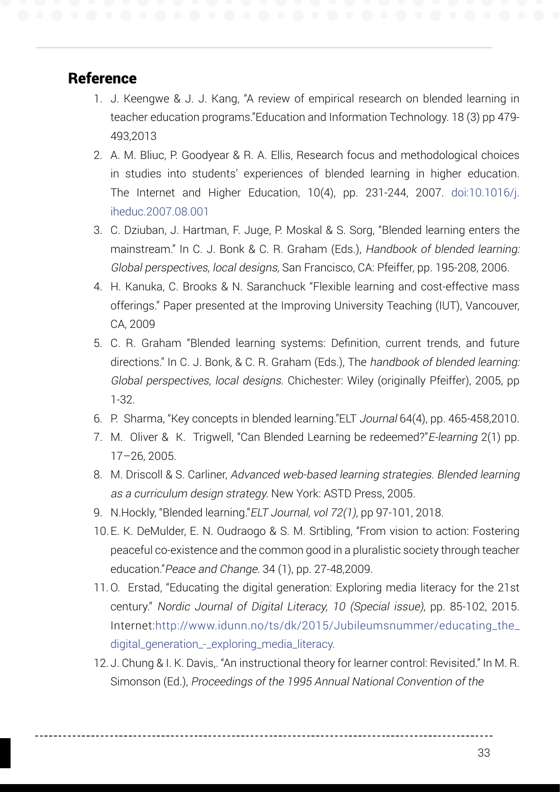## **Reference**

- 1. J. Keengwe & J. J. Kang, "A review of empirical research on blended learning in teacher education programs."Education and Information Technology. 18 (3) pp 479- 493,2013
- 2. A. M. Bliuc, P. Goodyear & R. A. Ellis, Research focus and methodological choices in studies into students' experiences of blended learning in higher education. The Internet and Higher Education, 10(4), pp. 231-244, 2007. doi:10.1016/j. iheduc.2007.08.001
- 3. C. Dziuban, J. Hartman, F. Juge, P. Moskal & S. Sorg, "Blended learning enters the mainstream." In C. J. Bonk & C. R. Graham (Eds.), Handbook of blended learning: Global perspectives, local designs, San Francisco, CA: Pfeiffer, pp. 195-208, 2006.
- 4. H. Kanuka, C. Brooks & N. Saranchuck "Flexible learning and cost-effective mass offerings." Paper presented at the Improving University Teaching (IUT), Vancouver, CA, 2009
- 5. C. R. Graham "Blended learning systems: Definition, current trends, and future directions." In C. J. Bonk, & C. R. Graham (Eds.), The handbook of blended learning: Global perspectives, local designs. Chichester: Wiley (originally Pfeiffer), 2005, pp 1-32.
- 6. P. Sharma, "Key concepts in blended learning."ELT Journal 64(4), pp. 465-458,2010.
- 7. M. Oliver & K. Trigwell, "Can Blended Learning be redeemed?"E-learning 2(1) pp. 17–26, 2005.
- 8. M. Driscoll & S. Carliner, Advanced web-based learning strategies. Blended learning as a curriculum design strategy. New York: ASTD Press, 2005.
- 9. N.Hockly, "Blended learning."ELT Journal, vol 72(1), pp 97-101, 2018.
- 10.E. K. DeMulder, E. N. Oudraogo & S. M. Srtibling, "From vision to action: Fostering peaceful co-existence and the common good in a pluralistic society through teacher education."Peace and Change. 34 (1), pp. 27-48,2009.
- 11.O. Erstad, "Educating the digital generation: Exploring media literacy for the 21st century." Nordic Journal of Digital Literacy, 10 (Special issue), pp. 85-102, 2015. Internet:http://www.idunn.no/ts/dk/2015/Jubileumsnummer/educating\_the\_ digital\_generation\_-\_exploring\_media\_literacy.
- 12. J. Chung & I. K. Davis,. "An instructional theory for learner control: Revisited." In M. R. Simonson (Ed.), Proceedings of the 1995 Annual National Convention of the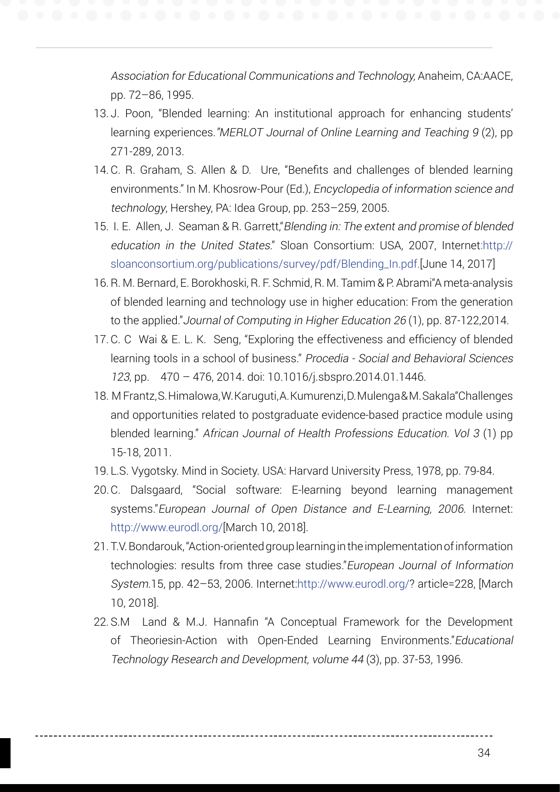Association for Educational Communications and Technology, Anaheim, CA:AACE, pp. 72–86, 1995.

- 13. J. Poon, "Blended learning: An institutional approach for enhancing students' learning experiences."MERLOT Journal of Online Learning and Teaching 9 (2), pp 271-289, 2013.
- 14.C. R. Graham, S. Allen & D. Ure, "Benefits and challenges of blended learning environments." In M. Khosrow-Pour (Ed.), Encyclopedia of information science and technology, Hershey, PA: Idea Group, pp. 253–259, 2005.
- 15. I. E. Allen, J. Seaman & R. Garrett,"Blending in: The extent and promise of blended education in the United States." Sloan Consortium: USA, 2007, Internet:http:// sloanconsortium.org/publications/survey/pdf/Blending\_In.pdf.[June 14, 2017]
- 16.R. M. Bernard, E. Borokhoski, R. F. Schmid, R. M. Tamim & P. Abrami"A meta-analysis of blended learning and technology use in higher education: From the generation to the applied."Journal of Computing in Higher Education 26 (1), pp. 87-122,2014.
- 17.C. C Wai & E. L. K. Seng, "Exploring the effectiveness and efficiency of blended learning tools in a school of business." Procedia - Social and Behavioral Sciences 123, pp. 470 – 476, 2014. doi: 10.1016/j.sbspro.2014.01.1446.
- 18. M Frantz, S. Himalowa, W. Karuguti, A. Kumurenzi, D. Mulenga & M. Sakala"Challenges and opportunities related to postgraduate evidence-based practice module using blended learning." African Journal of Health Professions Education. Vol 3 (1) pp 15-18, 2011.
- 19. L.S. Vygotsky. Mind in Society. USA: Harvard University Press, 1978, pp. 79-84.
- 20.C. Dalsgaard, "Social software: E-learning beyond learning management systems."European Journal of Open Distance and E-Learning, 2006. Internet: http://www.eurodl.org/[March 10, 2018].
- 21. T.V. Bondarouk, "Action-oriented group learning in the implementation of information technologies: results from three case studies."European Journal of Information System.15, pp. 42–53, 2006. Internet:http://www.eurodl.org/? article=228, [March 10, 2018].
- 22. S.M Land & M.J. Hannafin "A Conceptual Framework for the Development of Theoriesin-Action with Open-Ended Learning Environments."Educational Technology Research and Development, volume 44 (3), pp. 37-53, 1996.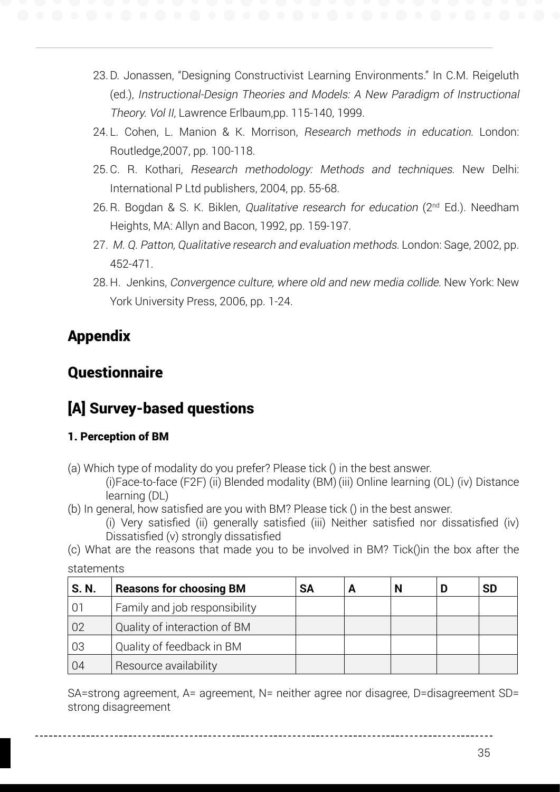- 23.D. Jonassen, "Designing Constructivist Learning Environments." In C.M. Reigeluth (ed.), Instructional-Design Theories and Models: A New Paradigm of Instructional Theory. Vol II, Lawrence Erlbaum,pp. 115-140, 1999.
	- 24. L. Cohen, L. Manion & K. Morrison, Research methods in education. London: Routledge,2007, pp. 100-118.
	- 25.C. R. Kothari, Research methodology: Methods and techniques. New Delhi: International P Ltd publishers, 2004, pp. 55-68.
	- 26. R. Bogdan & S. K. Biklen, *Qualitative research for education* ( $2<sup>nd</sup> Ed$ .). Needham Heights, MA: Allyn and Bacon, 1992, pp. 159-197.
	- 27. M. Q. Patton, Qualitative research and evaluation methods. London: Sage, 2002, pp. 452-471.
	- 28. H. Jenkins, Convergence culture, where old and new media collide. New York: New York University Press, 2006, pp. 1-24.

# Appendix

# **Ouestionnaire**

# [A] Survey-based questions

## 1. Perception of BM

(a) Which type of modality do you prefer? Please tick () in the best answer.

(i)Face-to-face (F2F) (ii) Blended modality (BM) (iii) Online learning (OL) (iv) Distance learning (DL)

(b) In general, how satisfied are you with BM? Please tick () in the best answer.

(i) Very satisfied (ii) generally satisfied (iii) Neither satisfied nor dissatisfied (iv) Dissatisfied (v) strongly dissatisfied

(c) What are the reasons that made you to be involved in BM? Tick()in the box after the statements

| S. N. | <b>Reasons for choosing BM</b> | <b>SA</b> |  | <b>SD</b> |
|-------|--------------------------------|-----------|--|-----------|
|       | Family and job responsibility  |           |  |           |
| 02    | Quality of interaction of BM   |           |  |           |
| 03    | Quality of feedback in BM      |           |  |           |
| 04    | Resource availability          |           |  |           |

SA=strong agreement, A= agreement, N= neither agree nor disagree, D=disagreement SD= strong disagreement